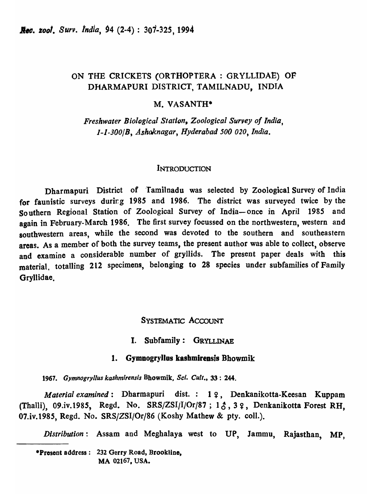# ON THE CRICKETS (ORTHOPTERA : GRYLLIDAE) OP DHARMAPURI DISTRICT, TAMILNADU, INDIA

### M. VASANTH\*

**Freshwater Biological Station, Zoological Survey of India,** *1-1-300/B, .A.shaknagar, Hyderabad 500 020, India.* 

### INTRODUCTION

Dharmapuri District of 'Tamilnadu was selected by Zoological Survey of India for faunistic surveys durirg 1985 and 1986. The district was surveyed twice by the Southern Regional Station of Zoological Survey of India-once in April 1985 and again in February-March 1986. The first survey focussed on the northwestern, western and southwestern areas, while the second was devoted to the southern and southeastern areas. As a member of both the survey teams, the present author was able to collect, observe and examine a considerable number of gryllids. The present paper deals with this material, totalling 212 specimens, belonging to 28 species under subfamilies of Family Gryllidae.

### SYSTEMATIC ACCOUNT

### I. Subfamily: GRYLLINAE

### 1. Gymnogryllus kashmirensis Bhowmik

*1967. Gymnogryllus kashmirensis* Bbowmik, *Sci. Cult.,* 33: 244.

*Material examined*: Dharmapuri dist.: 19, Denkanikotta-Keesan Kuppam (Thalli), 09.iv.1985, Regd. No.  $SRS/ZSI/I/Or/87$ ; 1 $\zeta$ , 3 $\zeta$ , Denkanikotta Forest RH, 07.iv.1985, Regd. No. SRS/ZSI/Or/86 (Koshy Mathew & pty. coll.).

*Distribution:* Assam and Meghalaya west to UP, Jammu, Rajasthan, MP,

·Present address: 232 Gerry Road, Brookline. MA 02167, USA.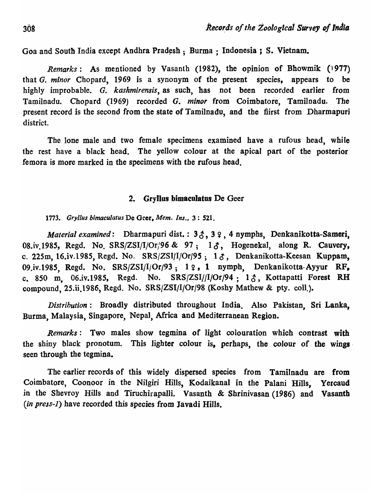Goa and South India except Andhra Pradesh ; Burma ; Indonesia ; S. Vietnam.

*Remarks*: As mentioned by Vasanth (1982), the opinion of Bhowmik (1977) that G. *minor* Cbopard, 1969 is a synonym of the present species, appears to be highly improbable. G. *kashmirensis,* as such, has not been recorded earlier from Tamilnadu. Chopard (1969) recorded *G. minor* from Coimbatore, Tamilnadu. The present record is the second from the state of Tamilnadu, and the fiirst from Dharmapuri district.

The lone male and two female specimens examined have a rufous head, while the rest have a black head. The yellow colour at the apical part of the posterior femora *is* more marked in the specimens with the rufous head.

### 2. Gryllus bimaculatus De Geer

*1773. Gryl/us bimaculatus* De Oeer, *Mem. Ins.,* 3 : 521.

*Material examined*: Dharmapuri dist.:  $3\zeta$ ,  $3\zeta$ , 4 nymphs, Denkanikotta-Sameri, 08.iv.1985, Regd. No. SRS/ZSI/I/Or/96 & 97; 13, Hogenekal, along R. Cauvery, c. 225m, 16.iv.1985, Regd. No.  $SRS/ZSI/I/Or/95$ ; 1 $\delta$ , Denkanikotta-Keesan Kuppam, 09.iv.1985, Regd. No.  $SRS/ZSI/I/Or/93$ ; 1  $9$ , 1 nymph, Denkanikotta-Ayyur RF, c. 850 m, 06.iv.1985, Regd. No. SRS/ZSI//I/Or/94; 1 $\delta$ , Kottapatti Forest RH compound, 25.ii.1986, Regd. No. SRS/ZSI/I/Or/98 (Koshy Mathew & pty. coli.).

*Distribution:* Broadly distributed throughout India. Also Pakistan, Sri Lanka, Burma, Malaysia, Singapore, NepaJ, Africa and Mediterranean Region.

*Remarks:* Two males show tegmina of light colouration which contrast with the shiny black pronotum. This lighter colour is, perhaps, the colour of the wings seen through the tegmina.

The earlier records of this widely dispersed species from Tamilnadu are from Coimbatore, Coonoor in the Nilgiri Hills, Kodaikanal in the Palani Hills. Yercaud in the Shevroy Hills and Tiruchirapalli. Vasanth & Shrinivasan (1986) and Vasanth *(in press-i)* have recorded this species from Javadi Hills.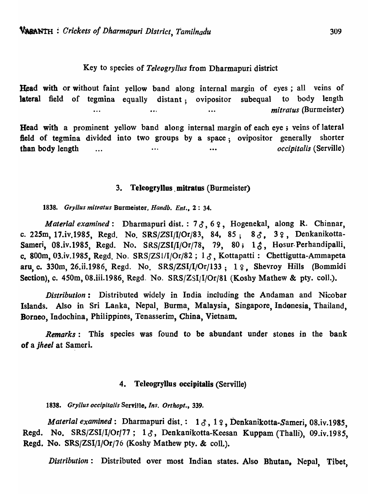### Key to species of *Teleogryllus* from Dharmapuri district

Head with or without faint yellow band along internal margin of eyes; all veins of lateral field of tegmina equally distant; ovipositor subequal to body length •.. *mitratus* (Burmeister)

Head with a prominent yellow band along internal margin of each eye; veins of lateral field of tegmina divided into two groups by a space; ovipositor generally shorter than body length ...  $\cdots$  *occipitalis* (Serville)

### 3. Teleogryllus mitratus (Burmeister)

*1838. Gryl/us mitratus* Burmeister, *Handb. Ent.,* 2: 34.

*Material examined*: Dharmapuri dist. : 73, 62, Hogenekal, along R. Chinnar, c. 225m, 17.iv.1985, Regd. No. SRS/ZSI/I/Or/83, 84, 85; 8 $3, 3, 3, 5$ . Denkanikotta-Sameri, 08.iv.1985, Regd. No. SRS/ZSI/I/Or/78, 79, 80; 13, Hosur-Perhandipalli, c. 800m, 03.iv.1985, Regd. No. SRS/ZS1/I/Or/82;  $1 \, \delta$ , Kottapatti: Chettigutta-Ammapeta aru, c. 330m, 26.ii.1986, Regd. No.  $SRS/ZSI/I/Or/133$ ; 19, Shevroy Hills (Bommidi Section), c. 450m, 08.iii.1986, Regd. No. SRS/ZSI/I/Or/81 (Koshy Mathew & pty. coll.).

*Distribution:* Distributed widely in India including the Andaman and Nicobar Islands. Also in Sri Lanka, Nepal, Burma, Malaysia, Singapore, Indonesia, Thailand, Borneo, Indochina, Philippines, Tenasserim, China, Vietnam.

*Remarks*: This species was found to be abundant under stones in the bank of a *jheel* at Sameri.

### 4. Teleogryllus occipitalis (Serville)

*1838. Gryllus occipitalis* ServiJle, *Ins. Orthopl., 339.* 

*Material examined*: Dharmapuri dist.: 13, 12, Denkanikotta-Sameri, 08.iv.1985, Regd. No. SRS/ZSI/I/Or/77;  $1 \delta$ , Denkanikotta-Keesan Kuppam (Thalli), 09.iv.1985, Regd. No. SRS/ZSI/I/Or/76 (Koshy Mathew pty. & coll.).

*Distribution:* Distributed over most Indian states. Also Bhutan, Nepal, Tibet,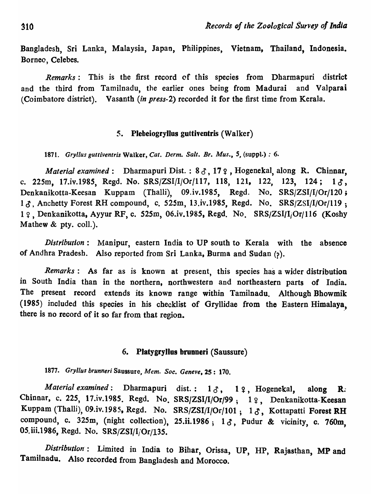Bangladesh, Sri Lanka, Malaysia, Japan, Philippines, Vietnam, Thailand, Indonesia. Borneo, Celebes.

*Remarks:* This is the first record of this species from Dharmapuri district and the third from Tamilnadu, the earlier ones being from Madurai and Valparai (Coimbatore district). Vasanth *(in press-2)* recorded it for the first time from Kerala.

### 5. Plebeiogryllus guttiventris (Walker)

1871. *Gryllus guttiventris* Walker, *Cat. Derm. Salt. Br. Mus.,* 5, (suppl.) : 6.

*Material examined*: Dharmapuri Dist.: 8  $\delta$ , 17  $\Omega$ , Hogenekal, along R. Chinnar, c. 225m, 17.iv.1985, Regd. No.  $SRS/ZSI/I/Or/117$ , 118, 121, 122, 123, 124; 1 $\delta$ , Denkanikotta-Keesan Kuppam (Thalli), 09.iv.198S, Regd. No. SRS/ZSI/I/Or/120;  $1\zeta$ . Anchetty Forest RH compound, c. 525m, 13.iv.1985, Regd. No. SRS/ZSI/I/Or/119; 1 9 Denkanikotta, Ayyur RF, c. 525m, 06.iv.1985, Regd. No. SRS/ZSI/I<sub>i</sub>Or/116 (Koshy Mathew & pty. coll.).

*Distribution:* Manipur, eastern India to UP south to Kerala with the absence of Andhra Pradesh. Also reported from Sri Lanka, Burma and Sudan (?).

*Remarks:* As far as is known at present, this species has a wider distribution in South India than in the northern, northwestern and northeastern parts of India. The present record extends its known range within Tamilnadu. Although Bhowmik (1985) included this species in his checklist of Gryllidae from the Eastern Himalaya, there is no record of it so far from that region.

### 6. Platygryllus brunneri (Saussure)

*1877. Gryllus brunneri* Saussure, *Mem. Soc. Geneve,* 2S: 170.

*Material examined*: Dharmapuri dist.: 13, 12, Hogenekal, along R: Chinnar, c. 225, 17.iv.1985. Regd. No. SRS/ZSI/I/Or/99; 1 º, Denkanikotta-Keesan Kuppam (Thalli), 09.iv.1985, Regd. No. SRS/ZSI/I/Or/101;  $1\delta$ , Kottapatti Forest RH compound, c. 325m, (night collection), 25.ii.1986;  $1\delta$ , Pudur & vicinity, c. 760m, 05.iii.1986, Regd. No. SRS/ZSI/I/Or/135.

*Distribution*: Limited in India to Bihar, Orissa, UP, HP, Rajasthan, MP and Tamilnadu. Also recorded from Bangladesh and Morocco.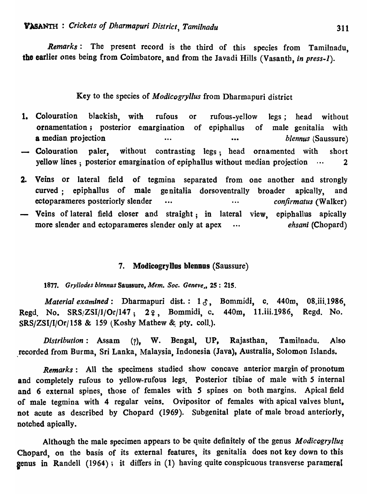*Remarks:* The present record is the third of this species from Tamilnadu, the earlier ones being from Coimbatore, and from the Javadi Hills (Vasanth, *in press-l).* 

# Key to the species of *Modicogryl/us* from Dharmapuri district

- 1. Colouration blackish, with rufous or rufous-yellow legs; head without ornamentation; posterior emargination of epiphallus of male genitalia with a median projection **•••** ••• ••• ••• ••• *blennus* (Saussure)
- Colouration paler, without contrasting legs; head ornamented with short yellow lines; posterior emargination of epiphallus without median projection  $\cdots$  2
- 2. Veins or lateral field of tegmina separated from one another and strongly curved: epiphallus of male genitalia dorsoventrally broader apically, and ectoparameres posteriorly slender ... ... ... ... *confirmatus (Walker)* Veins of lateral field closer and straight; in lateral view, epiphallus apically
- more slender and ectoparameres slender only at apex  $\cdots$  *ehsani* (Chopard)

## 7. Modicogryllus blennus (Saussure)

1877. Gryllodes blennus Saussure, *Mem. Soc. Geneve.*, 25: 215.

*Material examined:* Dharmapuri dist.: 13, Bommidi, c. 440m, 08.iii.1986, Regd. No. SRS/ZSI/J/Or/147; 22, Bommidi, c. 440m, 11.iii.1986, Regd. No.  $SRS/ZSI/I/Or/158 \& 159$  (Koshy Mathew & pty. coll.).

*Distribution:* Assam (7), w. Bengal, UP, Rajasthan, Tamilnadu. Also recorded from Burma, Sri Lanka, Malaysia, Indonesia (Java), Australia, Solomon Islands.

*Remarks:* All the specimens studied show concave anterior margin of pronotum and completely rufous to yellow-rufous legs. Posterior tibiae of male with 5 internal and 6 external spines, those of females with *5* spines on both margins. Apical field of male tegmina with 4 regular veins. Ovipositor of females with apical valves blunt, not acute as described by Chopard (1969). Subgenital plate of male broad anteriorly, notched apically.

Although the male specimen appears to be quite definitely of the genus *Modicogryllus* Chopard, on the basis of its external features, its genitalia does not key down to this genus in Randell (1964); it differs in (1) having quite conspicuous transverse parameral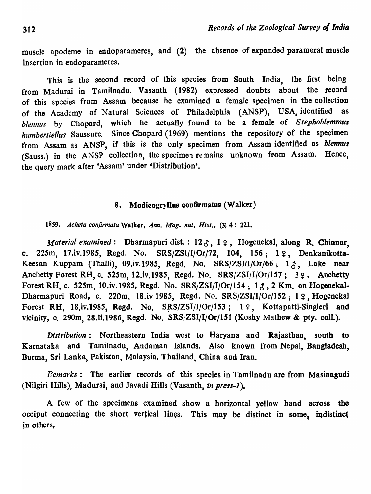muscle apodeme in endoparameres, and (2) the absence of expanded parameral muscle insertion in endoparameres.

This is the second record of this species from South India, the first being from Madurai in Tamilnadu. Vasanth (1982) expressed doubts about the record of this species from Assam because he examined a female specimen in the collection of the Academy of Natural Sciences of Philadelphia (ANSP), USA, identified as *blennus* by Chopard, which he actually found to be a female of *Stephoblemmus humbertiellus* Saussure. Since Chopard (1969) mentions the repository of the specimen from Assam as ANSP, if this is the only specimen from Assam identified as *blennus*  (Sauss.) in the ANSP collection, the specimen remains unknown from Assam. Hence, the query mark after 'Assam' under 'Distribution'.

### 8. Modicogryllus confirmatus (Walker)

*1859. Acheta confirmata* Walker, *Ann. Mag. nat. Hist.,* (3) 4: 221.

*Material examined*: Dharmapuri dist.: 123, 12, Hogenekal, along R. Chinnar, o. 225m, 17.iv.1985, Regd. No. SRS/ZSI/I/Or/72, 104, 156; 1 º, Denkanikotta-Keesan Kuppam (Thalli), 09.iv.1985, Regd. No. SRS/ZSI/I/Or/66;  $1 \zeta$ , Lake near Anchetty Forest RH, c. 525m, 12.iv.1985, Regd. No. SRS/ZSI/I/Or/157; 32. Anchetty Forest RH, c. 525m, 10.iv.1985, Regd. No. SRS/ZSI/I/Or/154;  $1 \zeta$ , 2 Km. on Hogenekal-Dharmapuri Road, c. 220m, 18.iv.1985, Regd. No. SRS/ZSI/I/Or/152; 1 ?. Hogenekal Forest RH, 18.iv.1985, Regd. No.  $SRS/ZSI/I/Or/153$ ; 19. Kottapatti-Singleri and vicinity, c. 290m, 28.ii.1986, Regd. No. SRS/ZSI/I/Or/151 (Koshy Mathew & pty. coll.).

*Distribution:* Northeastern India west to Haryana and Rajasthan, south to Karnataka and Tamilnadu, Andaman Islands. Also known from Nepal, Bangladesh, Burma, Sri Lanka, Pakistan, Malaysia, Thailand, China and Iran.

*Remarks:* The earlier records of this species in Tamilnadu are from Masinagudi (Nilgiri Hills), Madurai, and Javadi Hills (Vasanth, *in press-I).* 

A few of the specimens examined show a horizontal yellow band across the occiput connecting the short vertical lines. This may be distinct in some, indistinct in others.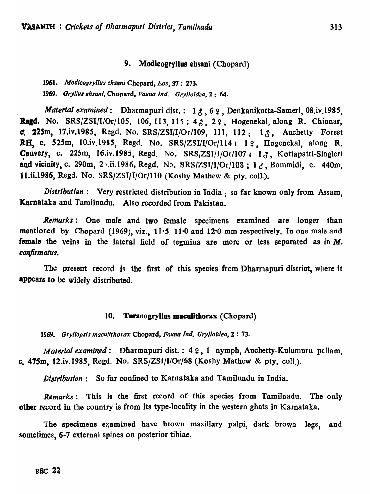## 9. Modicogryllus ehsani (Chopard)

*1961. Modicogryllus ehsani* Chopard. *Eos,* 37: 273. *1969. Gryllus ehsani.* Chopard. *Fauna Ind. Grylloidea.* 2: 64.

*Material examined*: Dharmapuri dist.: 13,62, Denkanikotta-Sameri, 08.iv.1985, Regd. No. SRS/ZSI/I/Or/105, 106, 113, 115;  $4\zeta$ ,  $2\zeta$ , Hogenekal, along R. Chinnar, c. 225m, 17.iv.1985, Regd. No.  $SRS/ZSI/I/Or/109$ , 111, 112; 1 $\zeta$ , Anchetty Forest RH. c. 525m, 10.iv.1985, Regd. No. SRS/ZSI/I/Or/114; 1 º, Hogenekal, along R. Cauvery, c. 225m, 16.iv.1985, Regd. No. SRS/ZSI/I/Or/107; 13, Kottapatti-Singleri and vicinity, c. 290m, 2<sup>5</sup>.ii.1986, Regd. No. SRS/ZSI/I/Or/108; 13, Bommidi, c. 440m, 11.ii.1986, Regd. No.  $SRS/ZSI/I/Or/110$  (Koshy Mathew & pty. coll.).

*Distribution*: Very restricted distribution in India ; so far known only from Assam, Karnataka and Tamilnadu. Also recorded from Pakistan.

*Remarks:* One male and two female specimens examined are longer than mentioned by Chopard (1969), viz., 11.5, 11.0 and 12.0 mm respectively. In one male and female the veins in the lateral field of tegmina are more or less separated as in M. *confirmatus.* 

The present record is the first of this species from Dharmapuri district, where it appears to be widely distributed.

### 10. Toranogryllas macolithorax (Chopard)

*1969. Gry/lopsls m:zculithorax* Cbopard. *Fauna Ind. Grylloideo.* 2 : 73.

*Material examined*: Dharmapuri dist.: 4 ?, 1 nymph, Anchetty-Kulumuru pallam, c. *47Sm,* 12.iv.198S, Regd. No. SRS/ZSI/ljOrj68 (Koshy Mathew & pty. coli.).

*Distribution:* So far confined to Karnataka and Tamilnadu in India.

*Remarks*: This is the first record of this species from Tamilnadu. The only other record in the country is from its type-locality in the western ghats in Karnataka.

The specimens examined have brown maxillary palpi, dark brown legs, and sometimes, 6-7 external spines on posterior tibiae.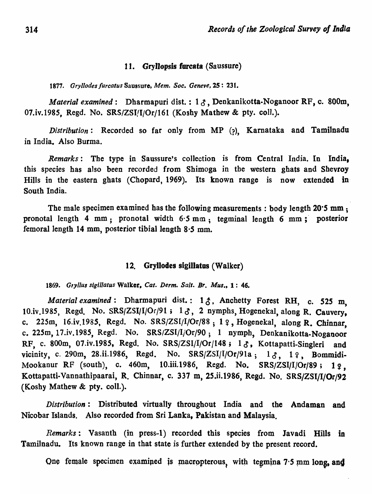### 11. GryJlopsis furcata (Saussure)

*1877. Gry/lodes furcatus* Saussure, *Mem. Soc. Geneve,* 25: 231.

*Material examined*: Dharmapuri dist.: 13, Denkanikotta-Noganoor RF, c. 800m, 07.iv.1985, Regd. No. SRS/ZSI/I/Or/161 (Koshy Mathew & pty. coll.).

*Distribution:* Recorded so far only from MP (?), Kamataka and Tamilnadu in India. Also Burma.

*Remarks:* The type in Saussure's collection is from Central India. In India, this species has also been recorded from Shimoga in the western ghats and Shevroy Hills in the eastern ghats (Chopard, 1969). Its known range is now extended in-South India.

The male specimen examined has the following measurements: body length *20·S* mm ; pronotal length 4 mm; pronotal width  $6.5$  mm; tegminal length 6 mm; posterior femoral length 14 mm, posterior tibial length 8·5 mm.

### 12. Gryllodes sigiUatos (Walker)

*1869. G,yllus sigl/latus* Walker. *Cat. Derm. Salt. Br. Mus.,* 1: 46.

*Material examined:* Dharmapuri dist.: 13, Anchetty Forest RH, c. 525 m. 10.iv.1985, Regd. No. SRS/ZSI/I/Or/91;  $1\delta$ , 2 nymphs, Hogenekal, along R. Cauvery, c. 225m, 16.iv.1985, Regd. No. SRS/ZSI/I/Or/88; 1  $\varphi$ , Hogenekal, along R. Chinnar. c. 225m, *17.iv.198S,* Regd. No. SRS/ZSI/I/Or/90; 1 nymph, Denkanikotta-Noganoor RF, c. 800m, 07.iv.1985, Regd. No. SRS/ZSI/I/Or/148; 13, Kottapatti-Singleri and vicinity, c. 290m, 28.ii.1986, Regd. No. SRS/ZSI/I/Or/91a;  $1\delta$ ,  $1\delta$ , Bommidi-Mookanur RF (south), c. 460m, 10.iii.1986, Regd. No. SRS/ZSI/I/Or/89; 1  $\varphi$ . Kottapatti.Vannathipaarai, R. Chinnar, c. 337 m, *2S.ii.1986,* Regd. No. SRS/ZSI/I/Or/92 (Koshy Mathew & pty. col!.).

*Distribution:* Distributed virtually throughout India and the Andaman and Nicobar Islands. Also recorded from Sri Lanka, Pakistan and Malaysia.

*Remarks:* Vasanth (in press-I) recorded this species from lavadi Hills in Tamilnadu. Its known range in that state is further extended by the present record.

One female specimen examined is macropterous, with tegmina  $7·5$  mm long, and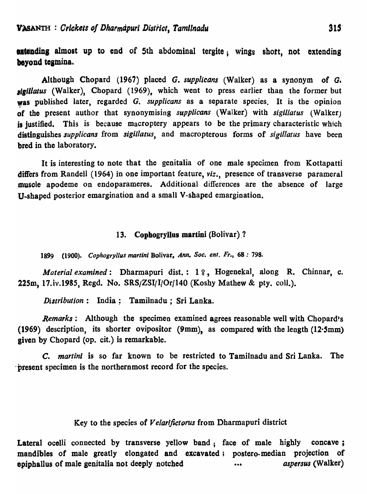**extending almost up to end of 5th abdominal tergite; wings short, not extending** beyond tegmina.

Although Chopard (1967) placed G. *supplicans* (Walker) as a synonym of *G. ,Igillatus* (Walker), Chopard (1969), which went to press earlier than the former but was published later, regarded G. *supplicans* as a separate species. It is the opinion of the present author that synonymising *supplicans* (Walker) with *sigillatus* (Walker) is justified. This is because macroptery appears to be the primary characteristic which distinguishes *supp/icans* from *sigillatus,* and macropterous forms of *sigillatus* have been bred in the laboratory.

It is interesting to note that the genitalia of one male specimen from Kottapatti differs from Randell (1964) in one important feature, *viz.,* presence of transverse parameral muscle apodeme on endoparameres. Additional differences are the absence of large U-shaped posterior emargination and a small V-shaped emargination.

#### 13. Cophogryllus martini (Bolivar) ?

1899 (1900). *Cophogryllus marlini* Bolivar, *Ann. Soc. ent. Fr.,* 68: 798.

*Material examined:* Dharmapuri dist.: 19, Hogenekal, along R. Chinnar, c. 225m, 17.iv.1985, Regd. No.  $SRS/ZSI/I/Or/140$  (Koshy Mathew & pty. coll.).

*Distribution:* India; Tamilnadu; Sri Lanka.

*Remarks:* Although the specimen examined agrees reasonable well with Chopard's (1969) description, its shorter ovipositor (9mm), as compared with the length (12.5mm) given by Chopard (op. cit.) is remarkable.

C. *martini* is so far known to be restricted to Tamilnadu and Sri Lanka. The 'present specimen is the northernmost record for the species.

## Key to the species of *Velarifictorus* from Dharmapuri district

Lateral ocelli connected by transverse yellow band; face of male highly concave; mandibles of male greatly elongated and excavated; postero-median projection of epipballus of male genitalia not deeply notched ••• *aspersus* (Walker)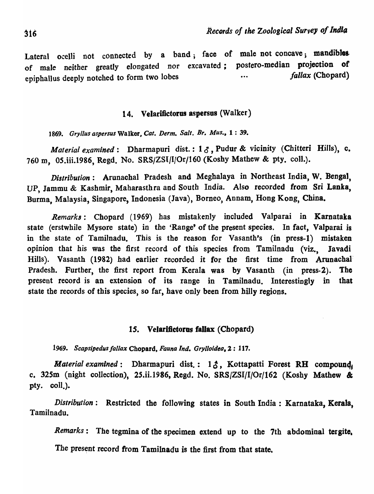Lateral ocelli not connected by a band; face of male not concave; mandibles of male neither greatly elongated nor excavated; postero-median projection of epiphallus deeply notched to form two lobes *fallax* (Chopard)

### 14. Velarifictorus aspersus (Walker)

*1869. Gryl/us aspersus* Walker, *Cat. Derm. Salt. Br. Mus.,* 1 : 39.

*Material examined*: Dharmapuri dist.:  $1 \delta$ , Pudur & vicinity (Chitteri Hills), c. 760 m, 05.iii.1986, Regd. No. SRS/ZSI/I/Or/160 (Koshy Mathew & pty. coll.).

*Distribution*: Arunachal Pradesh and Meghalaya in Northeast India, W. Bengal, UP, Jammu & Kashmir, Maharasthra and South India. Also recorded from Sri Lanka, Burma, Malaysia, Singapore, Indonesia (Java), Borneo, Annam, Hong Kong, China.

*Remarks:* Chopard (1969) has mistakenly included Valparai in Karnataka state (erstwhile Mysore state) in the 'Range' of the present species. In fact, Valparai is in the state of Tamilnadu. This is the reason for Vasanth's (in press-I) mistaken opinion that his was the first record of this species from Tamilnadu (viz., Javadi Hills). Vasanth (1982) had earlier recorded it for the first time from Arunachal Pradesh. Further, the first report from Kerala was by Vasanth (in press-2). The present record is an extension of its range in Tamilnadu. Interestingly in that state the records of this species, so far, have only been from hilly regions.

### 15. Velarifictorus fallax (Chopard)

*1969. Scapsipedus fal/ax* Chopard, *Fauna Ind. Grylloidea.* 2: 117.

*Material examined*: Dharmapuri dist.: 13, Kottapatti Forest RH compound. c. 325m (night collection), *2S.ii.1986,* Regd. No. SRS/ZSI/I/Or/162 (Koshy Mathew & pty. coll.).

*Distribution*: Restricted the following states in South India: Karnataka, Kerala, Tamilnadu.

*Remarks:* The tegmina of the specimen extend up to the 7th abdominal tergite. The present record from Tamilnadu is the first from that state.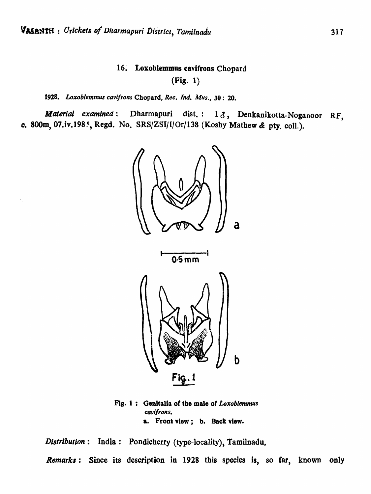# 16. Loxoblemmus cavifrons Chopard

(Fig. 1)

## 1928. Loxoblemmus cavifrons Chopard, Rec. Ind. Mus., 30: 20.

*Material examined*: Dharmapuri dist.: 13, Denkanikotta-Noganoor RF, c. 800m, 07.iv.1985, Regd. No. SRSjZSljl/Or/138 (Kosby Mathew & pty. coli.).



Fig. 1: Genitalia of tbe male of *Loxoblemmus*  cavifrons. a. Front view; b. Back view.

*Distribution*: India: Pondicherry (type-locality), Tamilnadu.

*Remarks:* Since its description in 1928 this species is, so far, known only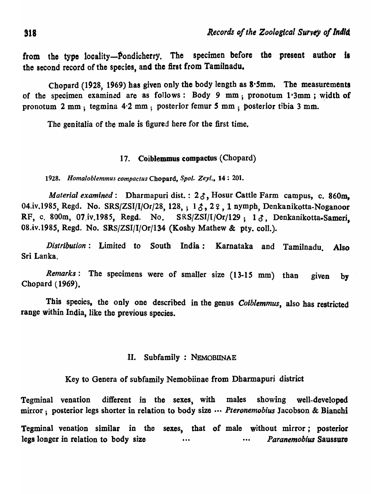from the type locality--Pondicherry. The specimen before the present author is the second record of the species, and the first from Tamilnadu.

Chopard (1928, 1969) has given only the body length as S'Smm, The measurements of the specimen examined are as follows: Body 9 mm; pronotum  $1.3 \text{mm}$ ; width of pronotum 2 mm; tegmina 4.2 mm; posterior femur 5 mm; posterior tibia 3 mm.

The genitalia of the male is figured here for the first time.

### 17. Coiblemmus compactus (Chopard)

*1928. Homaloblemmus compactus* Chopard, *Spol. Zeyl.,* 14 : 201.

*Material examined*: Dharmapuri dist. :  $2 \delta$ , Hosur Cattle Farm campus, c. 860m. 04.iv,1985, Regd. No.  $SRS/ZSI/I/Or/28$ , 128, ; 1 $\Lambda$ , 2 $\Omega$ , 1 nymph, Denkanikotta-Noganoor RF, c. 800m, 07.iv.1985, Regd. No.  $SRS/ZSI/I/Or/129$ ; 13. Denkanikotta-Sameri, 08.iv.1985, Regd. No. SRS/ZSI/I/Or/134 (Koshy Mathew & pty. coll.).

*Distribution:* Limited to South India: Karnataka and Tamilnadu. Also Sri Lanka.

*Remarks:* The specimens were of smaller size (13-15 mm) than given by Chopard (1969).

This species, the only one described in the genus *Colblemmus,* also has restricted range within India, like the previous species.

# II. Subfamily: NEMOBIINAE

Key to Genera of subfamily Nemobiinae from Dharmapuri district

Tegminal venation different in the sexes, with males showing well-developed mirror; posterior legs shorter in relation to body size ." *Pteronemobius* Jacobson & Bianchi

Tegminal venation similar in the sexes, that of male without mirror; posterior legs longer in relation to body size •.. ... *Paranemobius* Saussure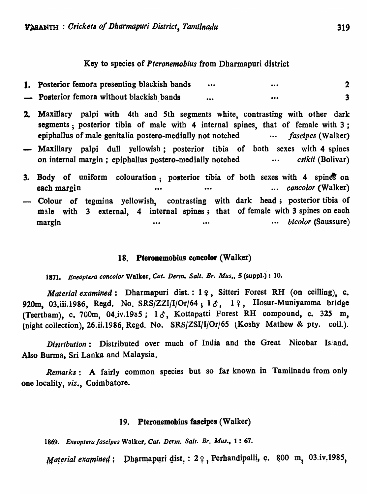### Key to species of *Pteronemobius* from Dharmapuri district

| 1. Posterior femora presenting blackish bands | $\bullet\bullet\bullet$ | $\bullet\bullet\bullet$ |  |
|-----------------------------------------------|-------------------------|-------------------------|--|
| - Posterior femora without blackish bands     | $\bullet\bullet\bullet$ |                         |  |

- 2. Maxillary palpi with 4th and 5th segments white, contrasting with other dark segments; posterior tibia of male with 4 internal spines, that of female with 3; epiphallus of male genitalia postero-medially not notched *fascipes* (Walker)
- Maxillary palpi dull yellowish; posterior tibia of both sexes with 4 spines on internal margin; epiphallus postero-medially notched *endineering* on the establishing on the establishing on the establishing on the establishing on the establishing on the ending on the establishing on the establishin
- 3. Body of uniform colouration; posterior tibia of both sexes with 4 spines on each margin **•••** ••• ••• ••• ••• ••• •• •• •• •• *concolor* (Walker) - Colour of tegmina yellowish, contrasting with dark head; posterior tibia of male with 3 external, 4 internal spines; that of female with 3 spines on each margin  $\cdots$  *hicolor* (Saussure)

### 18. Pteronemobius coneolor (Walker)

*1871. Eneoptera coneolor* Walker. *Cal. Derm. Salt. Br. Mus,.* 5 (suppl.): 10.

*Material examined*: Dharmapuri dist.: 1  $\varphi$ , Sitteri Forest RH (on ceilling), c. 920m, 03.iii.1986, Regd. No. SRS/ZZI/I/Or/64;  $1 \delta$ ,  $1 \circ$ , Hosur-Muniyamma bridge (Teertham), c. 700m, 04.iv.19 $85$ ; 1 $\delta$ , Kottapatti Forest RH compound, c. 325 m, (night collection), 26.ii.1986, Regd. No. SRS/ZSI/I/Or/65 (Koshy Mathew & pty. coll.).

*Distribution*: Distributed over much of India and the Great Nicobar Is!and. Also Burma, Sri Lanka and Malaysia.

*Remarks:* A fairly common species but so far known in Tamilnadu from only one locality, *viz.,* Coimbatore.

### 19. Pteronemobius fascipes (Walker)

1869. *Eneoptera/ascipes* Walker. *Cal. Derm. Salt. Br. Mus.,* 1 : 67.

Material examined: Dharmapuri dist.: 29, Perhandipalli, c. 800 m, 03.iv.1985,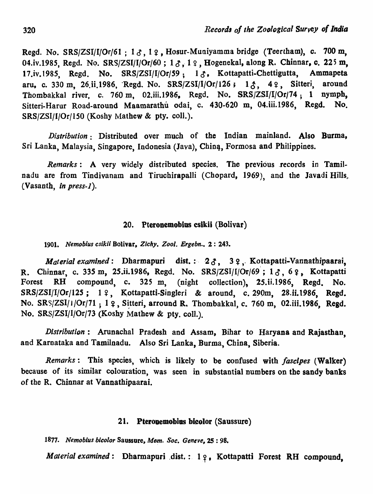Regd. No. SRS/ZSI/I/Or/61 ;  $1 \delta$ ,  $1 \Omega$ , Hosur-Muniyamma bridge (Teertham), c. 700 m, 04.iv.1985, Regd. No. SRS/ZSI/I/Or/60;  $1 \, \delta$ ,  $1 \, \Omega$ , Hogenekal, along R. Chinnar, c. 225 m, 17.iv.1985, Regd. No. SRS/ZSI/I/Or/59; 1 $\delta$ , Kottapatti-Chettigutta, Ammapeta aru, c. 330 m, 26.ii.1986, Regd. No. SRS/ZSI/I/Or/126;  $1 \land$ ,  $4 \degree$ , Sitteri, around Thombakkal river, c. 760 m, 02.iii.1986, Regd. No. SRS/ZSI/I/Or/74; 1 nymph, Sitteri-Harur Road-around Maamarathu odai, c. 430-620 m, 04. iii. 1986, Regd. No. SRS/ZSI/I/Or/lSO (Koshy Mathew & pty. coli.).

*Distribution:* Distributed over much of the Indian mainland. Also Burma, Sri Lanka, Malaysia, Singapore, Indonesia (Java), China, Formosa and Philippines.

*Remarks*: A very widely distributed species. The previous records in Tamilnadu are from Tindivanam and Tiruchirapalli (Chopard, 1969), and the Javadi Hills, (Vasanth, *in press-l).* 

### 20. Pteronemobios cslkii (Bolivar)

*1901. Nemobius csikii* Bolivar. *Zichy. Zool. Ergebn ••* 2: 243.

*Material examined*: Dharmapuri dist.: 23, 32, Kottapatti-Vannathipaarai, R. Chinnar, c. 335 m, 25.ii.1986, Regd. No.  $SRS/ZSI/I/Or/69$ ;  $1000$ ,  $69$ , Kottapatti Forest RH compound, c. 325 m, (night collection), 25.ii.1986, Regd. No.  $SRS/ZSI/I/Or/125$ ; 1 º, Kottapatti-Singleri & around, c. 290m, 28.ii.1986, Regd. No. SRS/ZSI/1/Or/71; 1 º, Sitteri, arround R. Thombakkal, c. 760 m, 02.iii.1986, Regd. No. SRS/ZSI/I/Orj73 (Koshy Mathew & pty. coll.).

*Distribution*: Arunachal Pradesh and Assam, Bihar to Haryana and Rajasthan, and Karnataka and Tamilnadu. Also Sri Lanka, Burma, China, Siberia.

*Remarks:* This species, which is likely to be confused with */asclpes* (Walker) because of its similar colouration, was seen in substantial numbers on the sandy banks of the R. Chinnar at Vannathipaarai.

### 21. Pteronemobius bicolor (Saussure)

*1877. Nemoblus bleolor* Saussure, *Mem. Soc. Geneve,25: 98.* 

*Material examined:* Dharmapuri dist.: 12, Kottapatti Forest RH compound,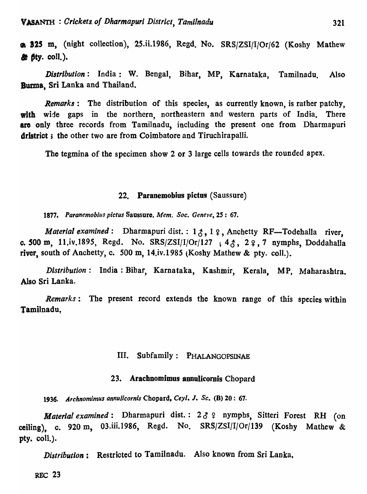6. 325 m, (night collection), 25.ii.1986, Regd. No. SRS/ZSI/I/Or/62 (Koshy Mathew  $\mathbf{d}$  if  $\mathbf{f}$  if  $\mathbf{y}$ . coll.).

*Distribution:* India: W. Bengal, Bihar, MP, Karnataka, Tamilnadu. Also-Burma, Sri Lanka and Thailand.

*Remarks:* The distribution of this species, as currently known, is rather patchy, with wide gaps in the northern, northeastern and western parts of India. There are only three records from Tamilnadu, including the present one from Dharmapuri dristrict; the other two are from Coimbatore and Tiruchirapalli.

The tegmina of the specimen show 2 or 3 large cells towards the rounded apex.

### 22. Paranemobius pictus (Saussure)

*1877. Paranemobius piclus* Saussure, *Mem. Soc. Geneve,* 25: 67.

*Material examined*: Dharmapuri dist.: 1, 2, 1, 2, Anchetty RF-Todehalla river, c. 500 m, 11.iv.1895, Regd. No. SRS/ZSI/I/Or/127 ;  $4\zeta$ ,  $2\zeta$ , 7 nymphs, Doddahalla river, south of Anchetty, c. 500 m, 14.iv.1985 (Koshy Mathew & pty. coll.).

*Distribution:* India: Bihar, Karnataka, Kashmir, KeraIa, MP, Maharashtra. Also Sri Lanka.

*Remarks*: The present record extends the known range of this species within Tamilnadu,

#### III. Subfamily: PHALANGOPSINAE

### 23. Arachnomimus annulicornis Chopard

*1936. Archnomimus annu/icornis* Chopard, *Ceyl. I. Sc.* (8) 20: 67.

*Material examined*: Dharmapuri dist.:  $2 \delta$  ? nymphs, Sitteri Forest RH (on ceiling), c. 920 m, 03.iii.1986, Regd. No. SRS/ZSI/I/Or/139 (Koshy Mathew & pty. col1.).

*Distribution:* Restricted to Tamilnadu. Also known from Sri Lanka,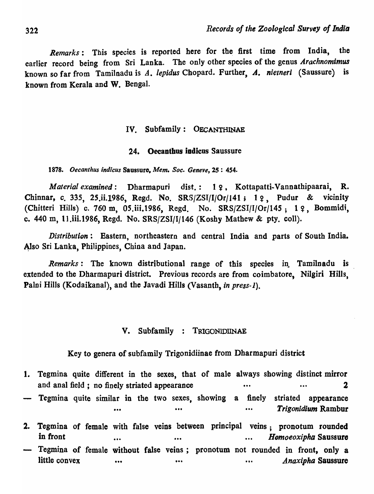*Remarks:* This species is reported here for the first time from India, the earlier record being from Sri Lanka. The only other species of the genus *Arachnomimus*  known so far from Tamilnadu is A. lepidus Chopard. Further, A. nietneri (Saussure) is known from Kerala and W. Bengal.

### IV. Subfamily: OECANTHINAE

### 24. Oecanthus indicus Saussure

*1878. Oecanthus indicus* Saussuro, *Mem. Soc. Geneve,* 2S: 454.

*Material examined*: Dharmapuri dist.: 19, Kottapatti-Vannathipaarai, R. Chinnar, c. 335, 25.ii.1986, Regd. No.  $SRS/ZSI/I/Or/141$ ; 19, Pudur & vicinity (Chitteri Hills) c. 760 m, 05.iii.1986, Regd. No.  $SRS/ZSI/I/Or/145$ ; 19, Bommidi, c. 440 m, 11, iii.1986, Regd. No.  $SRS/ZSI/I/146$  (Koshy Mathew & pty. coll).

*Distribution:* Eastern, northeastern and central India and parts of South India. Also Sri Lanka, Philippines, China and Japan.

*Remarks:* The known distributional range of this species in. Tamilnadu is extended to the Dharmapuri district. Previous records are from coimbatore, Nilgiri Hills, Palni Hills (Kodaikanal), and the Javadi Hills (Vasanth, *in press-1*).

#### V. Subfamily : TRIGONIDIINAE

Key to genera of subfamily Trigonidiinae from Dharmapuri district

1. Tegmina quite different in the sexes, that of male always showing distinct mirror and anal field ; no finely striated appearance ••. 2 Tegmina quite similar in the two sexes, showing a finely striated appearance ••• ••• ••• *Trigonidium* Rambur

2. Tegmina of female with false veins between principal veins; pronotum rounded in front ••• ••• *HDmoeoxiphll* Saussure - Tegmina of female without false veins; pronotum not rounded in front, only a little convex ••• ••• ••• ••• ••• ••• ••• *Anaxipha* Saussure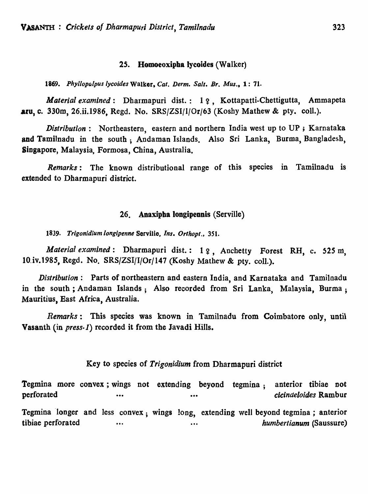### 25. Homoeoxipha Jycoides (Walker)

*1869. Phyllopalpus Iycoides* Walker, *Cat. Derm. Salt. Br. Mus.,* 1: 71.

*Material examined*: Dharmapuri dist.: 19, Kottapatti-Chettigutta, Ammapeta aru, c. 330m, 26.ii.1986, Regd. No. SRS/ZSI/I/Or/63 (Koshy Mathew & pty. col!.).

*Distribution:* Northeastern, eastern and northern India west up to UP ; Karnataka and Tamilnadu in the south; Andaman Islands. Also Sri Lanka, Burma, Bangladesh, Singapore, Malaysia, Formosa, China, Australia.

*Remarks*: The known distributional range of this species in Tamilnadu is extended to Dharmapuri district.

### 26. Anaxipba longipennis (Serville)

1839. Trigonidium longipenne Servilie, *Ins. Orthopt.*, 351.

*Material examined*: Dharmapuri dist.: 1 ?, Anchetty Forest RH, c. 525 m, lO.iv.198S, Regd. No. SRS/ZSI/I/Or/147 (Koshy Mathew & pty. col!.).

*Distribution:* Parts of northeastern and eastern India, and Karnataka and Tamilnadu in the south; Andaman Islands; Also recorded from Sri Lanka, Malaysia, Burma; Mauritius, East Africa, Australia.

*Remarks:* This species was known in Tamilnadu from Coimbatore only, unti1 Vasanth (in *press-1*) recorded it from the Javadi Hills.

### Key to species of *Trigonidium* from Dharmapuri district

Tegmina more convex; wings not extending beyond tegmina; perforated •••• anterior tibiae not *cicinaeloides* Rambur Tegmina 'longer and less convex; wings long, extending well beyond tegmina; anterior tibiae perforated ... ... ... ... ... *humbertianum* (Saussure)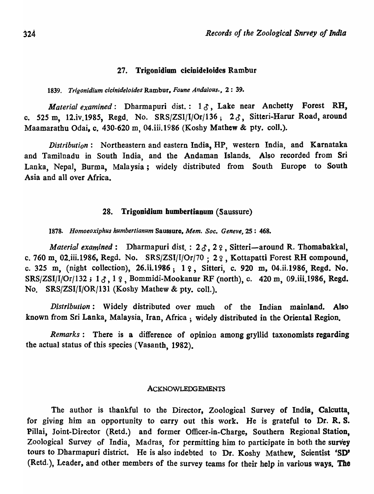#### 27. Trigonidium cicioideloides Rambur

*1839. Trigonidium cicinideloides* Rambur, *Faune AndaJous.,* 2: 39.

*Material examined*: Dharmapuri dist.: 13, Lake near Anchetty Forest RH, c. 525 m, 12.iv.1985, Regd. No.  $SRS/ZSI/I/Or/136$ ;  $2 \delta$ , Sitteri-Harur Road, around Maamarathu Odai, c. 430-620 m, 04.iii.1986 (Koshy Mathew & pty. coll.).

*Distribution:* Northeastern and eastern India, HP, western India, and Karnataka and Tamilnadu in South India, and the Andaman Islands. Also recorded from Sri Lanka, Nepal, Burma, Malaysia; widely distributed from South Europe to South Asia and all over Africa.

#### 28. Trigonidium humbertianum (Saussure)

*1878. Homoeoxiphus humbertianum* Saussure, *Mem. Soc. Geneve,* 2S : 468.

*Material examined*: Dharmapuri dist.: 23, 29, Sitteri-around R. Thomabakkal, c. 760 m, 02.iii.1986, Regd. No.  $SRS/ZSI/I/Or/70$ : 22, Kottapatti Forest RH compound, c. 325 m, (night collection), 26.ii.1986; 1  $\varphi$ , Sitteri, c. 920 m, 04.ii.1986, Regd. No. SRS/ZSI/I/Or/132;  $1\delta$ ,  $1\delta$ , Bommidi-Mookanur RF (north), c. 420 m, 09.iii.1986, Regd. No. SRS/ZSI/IjOR/131 (Koshy Mathew & pty. colI.).

*Distribution*: Widely distributed over much of the Indian mainland. Also known from Sri Lanka, Malaysia, Iran, Africa; widely distributed in the Oriental Region.

*Remarks:* There is a difference of opinion among gryllid taxonomists regarding the actual status of this species (Vasanth, 1982).

#### ACKNOWLEDGEMENTS

The author is thankful to the Director, Zoological Survey of India, Calcutta, for giving him an opportunity to carry out this work. He is grateful to Dr. R. S. Pillai, Joint-Director (Retd.) and former Officer-in-Charge, Southern Regional Station, Zoological Survey of India, Madras, for permitting him to participate in both the survey tours to Dharmapuri district. He is also indebted to Dr. Koshy Mathew, Scientist 'SO' (Retd. ), Leader, and other members of the survey teams for their help in various ways. Tho